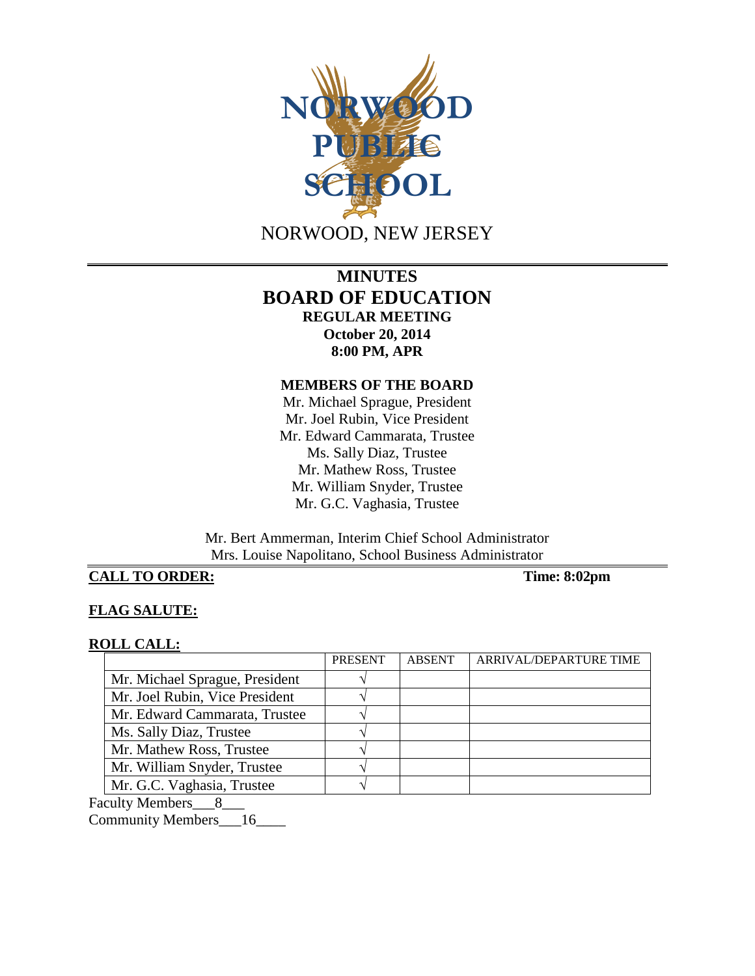

# **MINUTES BOARD OF EDUCATION REGULAR MEETING October 20, 2014 8:00 PM, APR**

## **MEMBERS OF THE BOARD**

Mr. Michael Sprague, President Mr. Joel Rubin, Vice President Mr. Edward Cammarata, Trustee Ms. Sally Diaz, Trustee Mr. Mathew Ross, Trustee Mr. William Snyder, Trustee Mr. G.C. Vaghasia, Trustee

Mr. Bert Ammerman, Interim Chief School Administrator Mrs. Louise Napolitano, School Business Administrator

# **CALL TO ORDER:** Time: 8:02pm

# **FLAG SALUTE:**

## **ROLL CALL:**

|                                | <b>PRESENT</b> | <b>ABSENT</b> | ARRIVAL/DEPARTURE TIME |
|--------------------------------|----------------|---------------|------------------------|
| Mr. Michael Sprague, President |                |               |                        |
| Mr. Joel Rubin, Vice President |                |               |                        |
| Mr. Edward Cammarata, Trustee  |                |               |                        |
| Ms. Sally Diaz, Trustee        |                |               |                        |
| Mr. Mathew Ross, Trustee       |                |               |                        |
| Mr. William Snyder, Trustee    |                |               |                        |
| Mr. G.C. Vaghasia, Trustee     |                |               |                        |

Faculty Members\_\_\_8\_\_\_

Community Members\_\_\_16\_\_\_\_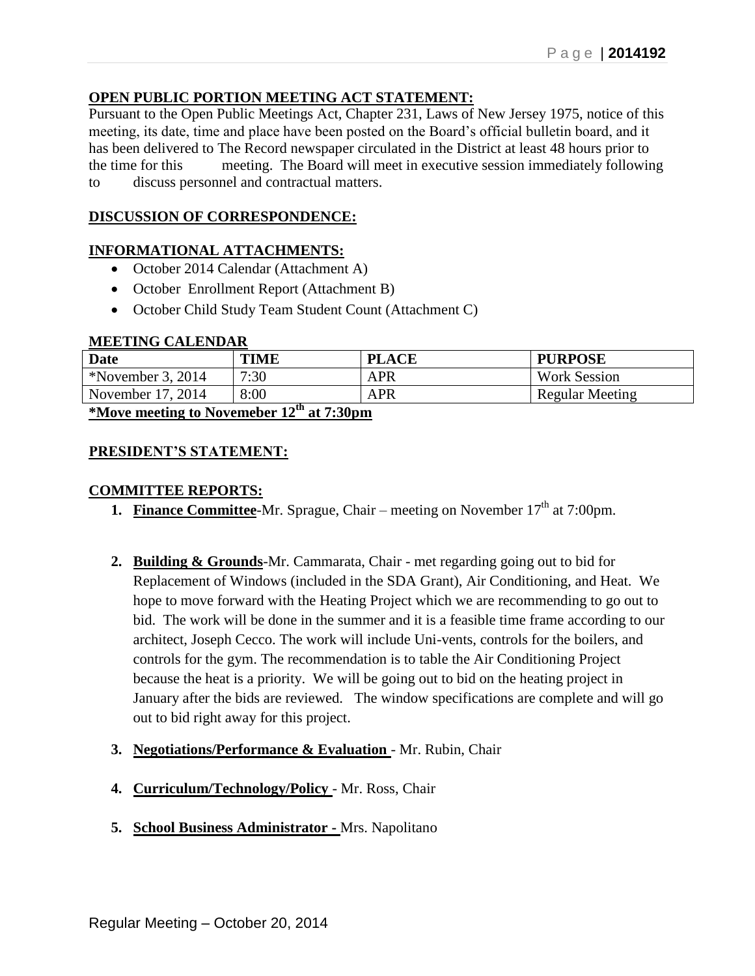# **OPEN PUBLIC PORTION MEETING ACT STATEMENT:**

Pursuant to the Open Public Meetings Act, Chapter 231, Laws of New Jersey 1975, notice of this meeting, its date, time and place have been posted on the Board's official bulletin board, and it has been delivered to The Record newspaper circulated in the District at least 48 hours prior to the time for this meeting. The Board will meet in executive session immediately following to discuss personnel and contractual matters.

# **DISCUSSION OF CORRESPONDENCE:**

# **INFORMATIONAL ATTACHMENTS:**

- October 2014 Calendar (Attachment A)
- October Enrollment Report (Attachment B)
- October Child Study Team Student Count (Attachment C)

## **MEETING CALENDAR**

| <b>Date</b>                                              | TIME | <b>PLACE</b> | <b>PURPOSE</b>         |  |
|----------------------------------------------------------|------|--------------|------------------------|--|
| *November 3, 2014                                        | 7:30 | APR          | <b>Work Session</b>    |  |
| November 17, 2014                                        | 8:00 | <b>APR</b>   | <b>Regular Meeting</b> |  |
| $*$ Move meeting to Novemeber 12 <sup>th</sup> at 7.30pm |      |              |                        |  |

**\*Move meeting to Novemeber 12th at 7:30pm**

# **PRESIDENT'S STATEMENT:**

# **COMMITTEE REPORTS:**

- **1. Finance Committee-Mr.** Sprague, Chair meeting on November  $17<sup>th</sup>$  at 7:00pm.
- **2. Building & Grounds**-Mr. Cammarata, Chair met regarding going out to bid for Replacement of Windows (included in the SDA Grant), Air Conditioning, and Heat. We hope to move forward with the Heating Project which we are recommending to go out to bid. The work will be done in the summer and it is a feasible time frame according to our architect, Joseph Cecco. The work will include Uni-vents, controls for the boilers, and controls for the gym. The recommendation is to table the Air Conditioning Project because the heat is a priority. We will be going out to bid on the heating project in January after the bids are reviewed. The window specifications are complete and will go out to bid right away for this project.
- **3. Negotiations/Performance & Evaluation** Mr. Rubin, Chair
- **4. Curriculum/Technology/Policy** Mr. Ross, Chair
- **5. School Business Administrator -** Mrs. Napolitano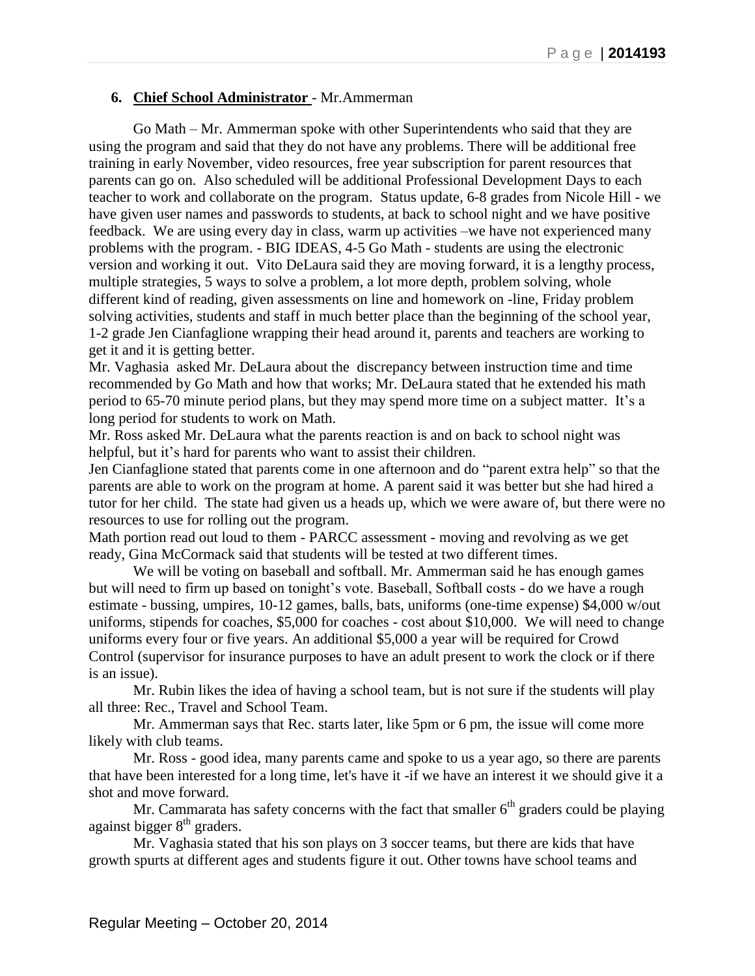## **6. Chief School Administrator** - Mr.Ammerman

Go Math – Mr. Ammerman spoke with other Superintendents who said that they are using the program and said that they do not have any problems. There will be additional free training in early November, video resources, free year subscription for parent resources that parents can go on. Also scheduled will be additional Professional Development Days to each teacher to work and collaborate on the program. Status update, 6-8 grades from Nicole Hill - we have given user names and passwords to students, at back to school night and we have positive feedback. We are using every day in class, warm up activities –we have not experienced many problems with the program. - BIG IDEAS, 4-5 Go Math - students are using the electronic version and working it out. Vito DeLaura said they are moving forward, it is a lengthy process, multiple strategies, 5 ways to solve a problem, a lot more depth, problem solving, whole different kind of reading, given assessments on line and homework on -line, Friday problem solving activities, students and staff in much better place than the beginning of the school year, 1-2 grade Jen Cianfaglione wrapping their head around it, parents and teachers are working to get it and it is getting better.

Mr. Vaghasia asked Mr. DeLaura about the discrepancy between instruction time and time recommended by Go Math and how that works; Mr. DeLaura stated that he extended his math period to 65-70 minute period plans, but they may spend more time on a subject matter. It's a long period for students to work on Math.

Mr. Ross asked Mr. DeLaura what the parents reaction is and on back to school night was helpful, but it's hard for parents who want to assist their children.

Jen Cianfaglione stated that parents come in one afternoon and do "parent extra help" so that the parents are able to work on the program at home. A parent said it was better but she had hired a tutor for her child. The state had given us a heads up, which we were aware of, but there were no resources to use for rolling out the program.

Math portion read out loud to them - PARCC assessment - moving and revolving as we get ready, Gina McCormack said that students will be tested at two different times.

We will be voting on baseball and softball. Mr. Ammerman said he has enough games but will need to firm up based on tonight's vote. Baseball, Softball costs - do we have a rough estimate - bussing, umpires, 10-12 games, balls, bats, uniforms (one-time expense) \$4,000 w/out uniforms, stipends for coaches, \$5,000 for coaches - cost about \$10,000. We will need to change uniforms every four or five years. An additional \$5,000 a year will be required for Crowd Control (supervisor for insurance purposes to have an adult present to work the clock or if there is an issue).

Mr. Rubin likes the idea of having a school team, but is not sure if the students will play all three: Rec., Travel and School Team.

Mr. Ammerman says that Rec. starts later, like 5pm or 6 pm, the issue will come more likely with club teams.

Mr. Ross - good idea, many parents came and spoke to us a year ago, so there are parents that have been interested for a long time, let's have it -if we have an interest it we should give it a shot and move forward.

Mr. Cammarata has safety concerns with the fact that smaller  $6<sup>th</sup>$  graders could be playing against bigger  $8<sup>th</sup>$  graders.

Mr. Vaghasia stated that his son plays on 3 soccer teams, but there are kids that have growth spurts at different ages and students figure it out. Other towns have school teams and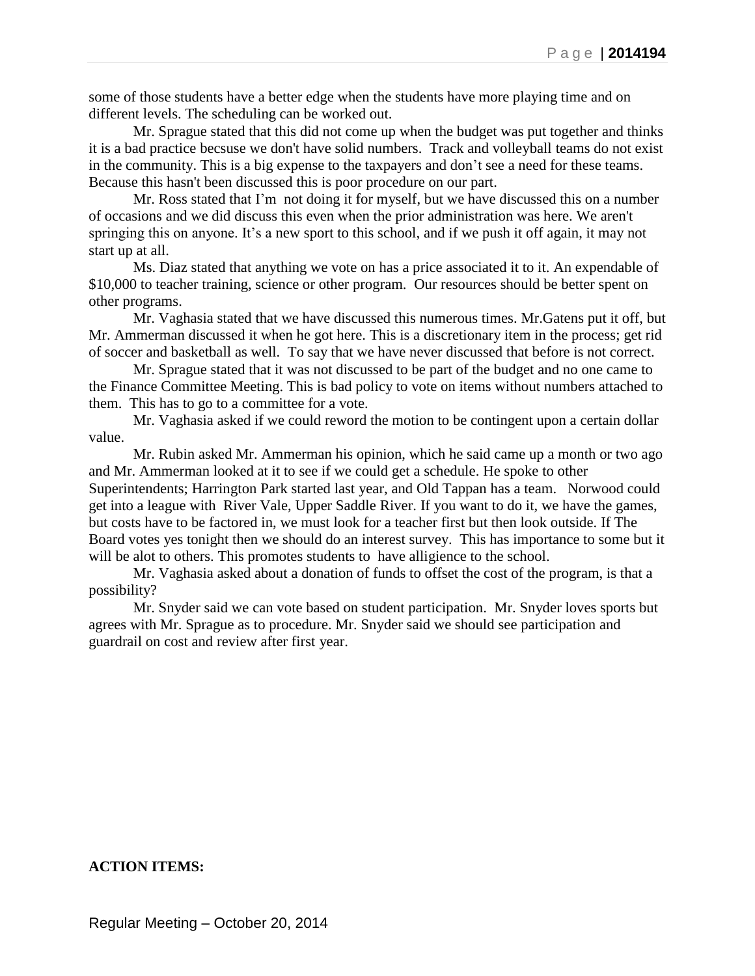some of those students have a better edge when the students have more playing time and on different levels. The scheduling can be worked out.

Mr. Sprague stated that this did not come up when the budget was put together and thinks it is a bad practice becsuse we don't have solid numbers. Track and volleyball teams do not exist in the community. This is a big expense to the taxpayers and don't see a need for these teams. Because this hasn't been discussed this is poor procedure on our part.

Mr. Ross stated that I'm not doing it for myself, but we have discussed this on a number of occasions and we did discuss this even when the prior administration was here. We aren't springing this on anyone. It's a new sport to this school, and if we push it off again, it may not start up at all.

Ms. Diaz stated that anything we vote on has a price associated it to it. An expendable of \$10,000 to teacher training, science or other program. Our resources should be better spent on other programs.

Mr. Vaghasia stated that we have discussed this numerous times. Mr.Gatens put it off, but Mr. Ammerman discussed it when he got here. This is a discretionary item in the process; get rid of soccer and basketball as well. To say that we have never discussed that before is not correct.

Mr. Sprague stated that it was not discussed to be part of the budget and no one came to the Finance Committee Meeting. This is bad policy to vote on items without numbers attached to them. This has to go to a committee for a vote.

Mr. Vaghasia asked if we could reword the motion to be contingent upon a certain dollar value.

Mr. Rubin asked Mr. Ammerman his opinion, which he said came up a month or two ago and Mr. Ammerman looked at it to see if we could get a schedule. He spoke to other Superintendents; Harrington Park started last year, and Old Tappan has a team. Norwood could get into a league with River Vale, Upper Saddle River. If you want to do it, we have the games, but costs have to be factored in, we must look for a teacher first but then look outside. If The Board votes yes tonight then we should do an interest survey. This has importance to some but it will be alot to others. This promotes students to have alligience to the school.

Mr. Vaghasia asked about a donation of funds to offset the cost of the program, is that a possibility?

Mr. Snyder said we can vote based on student participation. Mr. Snyder loves sports but agrees with Mr. Sprague as to procedure. Mr. Snyder said we should see participation and guardrail on cost and review after first year.

#### **ACTION ITEMS:**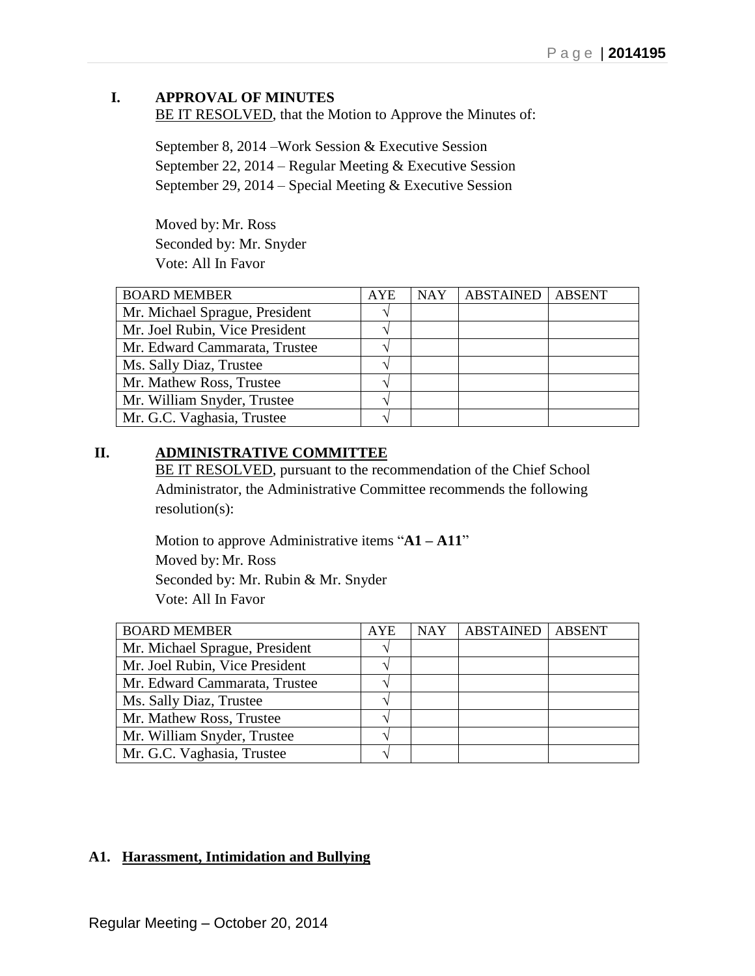# **I. APPROVAL OF MINUTES**

BE IT RESOLVED, that the Motion to Approve the Minutes of:

September 8, 2014 –Work Session & Executive Session September 22, 2014 – Regular Meeting & Executive Session September 29, 2014 – Special Meeting & Executive Session

Moved by: Mr. Ross Seconded by: Mr. Snyder Vote: All In Favor

| <b>BOARD MEMBER</b>            | <b>AYE</b> | <b>NAY</b> | ABSTAINED | <b>ABSENT</b> |
|--------------------------------|------------|------------|-----------|---------------|
| Mr. Michael Sprague, President |            |            |           |               |
| Mr. Joel Rubin, Vice President |            |            |           |               |
| Mr. Edward Cammarata, Trustee  |            |            |           |               |
| Ms. Sally Diaz, Trustee        |            |            |           |               |
| Mr. Mathew Ross, Trustee       |            |            |           |               |
| Mr. William Snyder, Trustee    |            |            |           |               |
| Mr. G.C. Vaghasia, Trustee     |            |            |           |               |

## **II. ADMINISTRATIVE COMMITTEE**

BE IT RESOLVED, pursuant to the recommendation of the Chief School Administrator, the Administrative Committee recommends the following resolution(s):

Motion to approve Administrative items "**A1 – A11**" Moved by: Mr. Ross Seconded by: Mr. Rubin & Mr. Snyder Vote: All In Favor

| <b>BOARD MEMBER</b>            | <b>AYE</b> | <b>NAY</b> | <b>ABSTAINED ABSENT</b> |  |
|--------------------------------|------------|------------|-------------------------|--|
| Mr. Michael Sprague, President |            |            |                         |  |
| Mr. Joel Rubin, Vice President |            |            |                         |  |
| Mr. Edward Cammarata, Trustee  |            |            |                         |  |
| Ms. Sally Diaz, Trustee        |            |            |                         |  |
| Mr. Mathew Ross, Trustee       |            |            |                         |  |
| Mr. William Snyder, Trustee    |            |            |                         |  |
| Mr. G.C. Vaghasia, Trustee     |            |            |                         |  |

# **A1. Harassment, Intimidation and Bullying**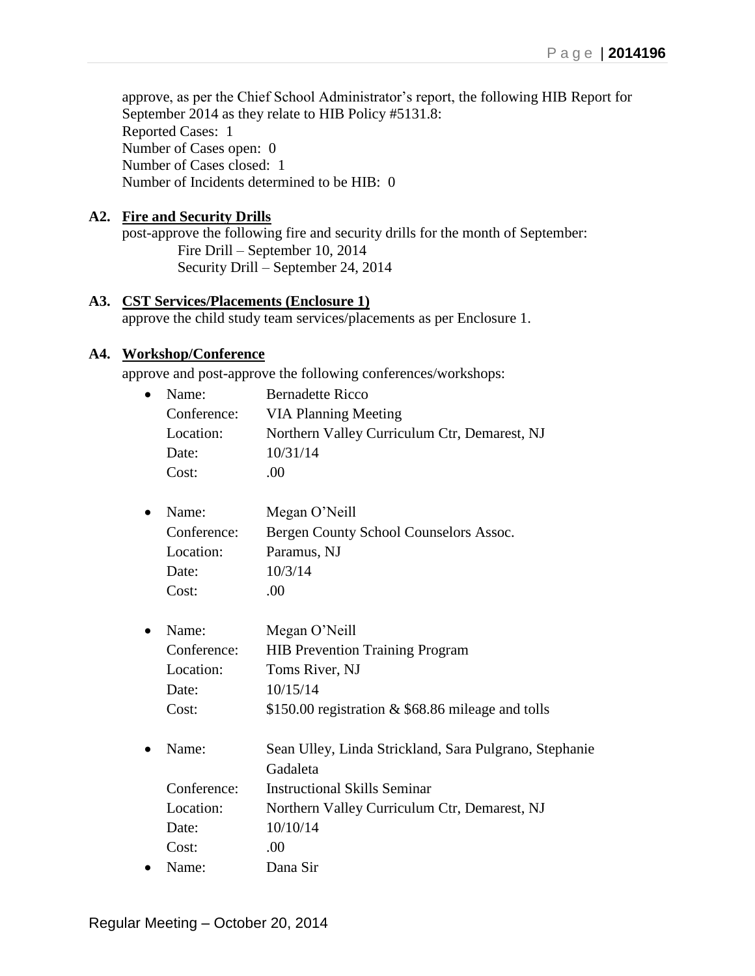approve, as per the Chief School Administrator's report, the following HIB Report for September 2014 as they relate to HIB Policy #5131.8: Reported Cases: 1 Number of Cases open: 0 Number of Cases closed: 1 Number of Incidents determined to be HIB: 0

# **A2. Fire and Security Drills**

post-approve the following fire and security drills for the month of September: Fire Drill – September 10, 2014 Security Drill – September 24, 2014

## **A3. CST Services/Placements (Enclosure 1)**

approve the child study team services/placements as per Enclosure 1.

## **A4. Workshop/Conference**

approve and post-approve the following conferences/workshops:

| $\bullet$ | Name:       | <b>Bernadette Ricco</b>                      |
|-----------|-------------|----------------------------------------------|
|           | Conference: | <b>VIA Planning Meeting</b>                  |
| Location: |             | Northern Valley Curriculum Ctr, Demarest, NJ |
|           | Date:       | 10/31/14                                     |
|           | Cost:       | (1)                                          |
|           |             |                                              |

| $\bullet$ | Name:       | Megan O'Neill                          |
|-----------|-------------|----------------------------------------|
|           | Conference: | Bergen County School Counselors Assoc. |
|           | Location:   | Paramus, NJ                            |
|           | Date:       | 10/3/14                                |
|           | Cost:       | (1)                                    |

| $\bullet$ Name: | Megan O'Neill                                     |
|-----------------|---------------------------------------------------|
| Conference:     | <b>HIB Prevention Training Program</b>            |
| Location:       | Toms River, NJ                                    |
| Date:           | 10/15/14                                          |
| Cost:           | \$150.00 registration & \$68.86 mileage and tolls |

 Name: Sean Ulley, Linda Strickland, Sara Pulgrano, Stephanie Gadaleta Conference: Instructional Skills Seminar Location: Northern Valley Curriculum Ctr, Demarest, NJ Date: 10/10/14 Cost: .00 Name: Dana Sir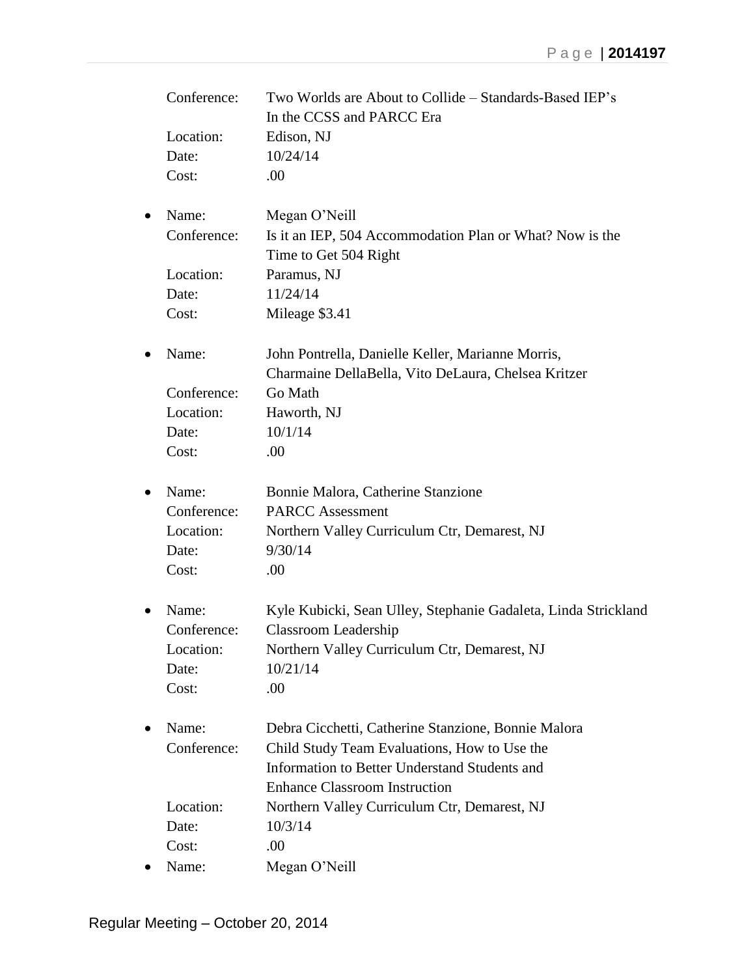|           | Conference: | Two Worlds are About to Collide – Standards-Based IEP's<br>In the CCSS and PARCC Era |
|-----------|-------------|--------------------------------------------------------------------------------------|
|           | Location:   | Edison, NJ                                                                           |
|           | Date:       | 10/24/14                                                                             |
|           | Cost:       | .00                                                                                  |
|           |             |                                                                                      |
| $\bullet$ | Name:       | Megan O'Neill                                                                        |
|           | Conference: | Is it an IEP, 504 Accommodation Plan or What? Now is the                             |
|           |             | Time to Get 504 Right                                                                |
|           | Location:   | Paramus, NJ                                                                          |
|           | Date:       | 11/24/14                                                                             |
|           | Cost:       | Mileage \$3.41                                                                       |
| ٠         | Name:       | John Pontrella, Danielle Keller, Marianne Morris,                                    |
|           |             | Charmaine DellaBella, Vito DeLaura, Chelsea Kritzer                                  |
|           | Conference: | Go Math                                                                              |
|           | Location:   | Haworth, NJ                                                                          |
|           | Date:       | 10/1/14                                                                              |
|           | Cost:       | .00                                                                                  |
| $\bullet$ | Name:       | Bonnie Malora, Catherine Stanzione                                                   |
|           | Conference: | <b>PARCC Assessment</b>                                                              |
|           | Location:   | Northern Valley Curriculum Ctr, Demarest, NJ                                         |
|           | Date:       | 9/30/14                                                                              |
|           | Cost:       | .00                                                                                  |
| $\bullet$ | Name:       | Kyle Kubicki, Sean Ulley, Stephanie Gadaleta, Linda Strickland                       |
|           | Conference: | Classroom Leadership                                                                 |
|           | Location:   | Northern Valley Curriculum Ctr, Demarest, NJ                                         |
|           | Date:       | 10/21/14                                                                             |
|           | Cost:       | .00                                                                                  |
| $\bullet$ | Name:       | Debra Cicchetti, Catherine Stanzione, Bonnie Malora                                  |
|           | Conference: | Child Study Team Evaluations, How to Use the                                         |
|           |             | Information to Better Understand Students and                                        |
|           |             | <b>Enhance Classroom Instruction</b>                                                 |
|           | Location:   | Northern Valley Curriculum Ctr, Demarest, NJ                                         |
|           | Date:       | 10/3/14                                                                              |
|           | Cost:       | .00                                                                                  |
|           | Name:       | Megan O'Neill                                                                        |
|           |             |                                                                                      |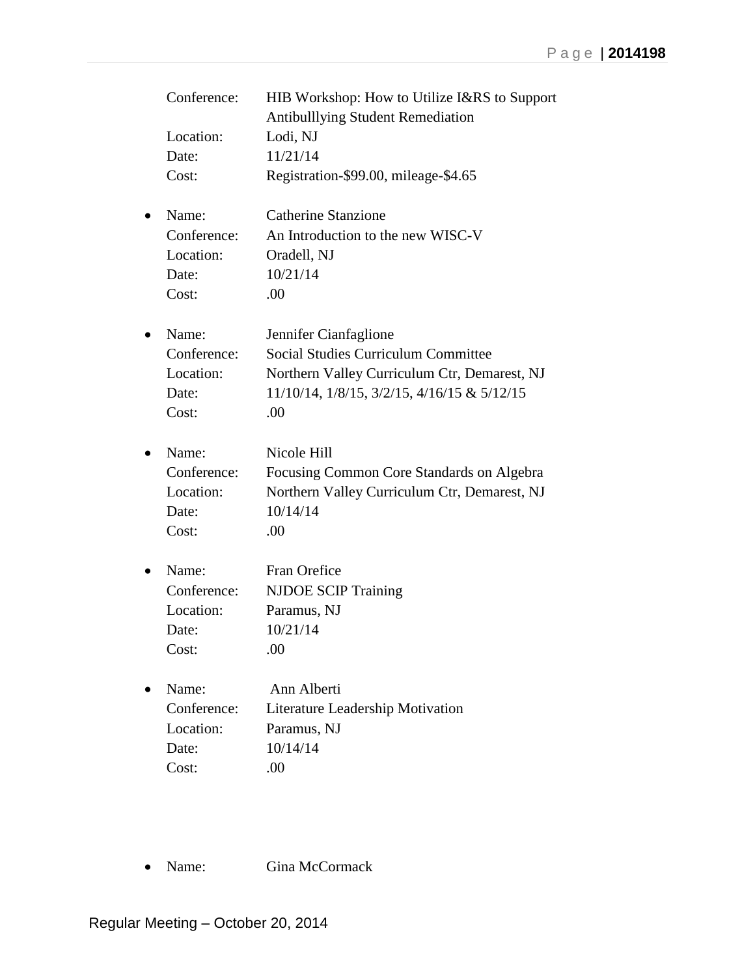| Conference:<br>Location:<br>Date:<br>Cost:          | HIB Workshop: How to Utilize I&RS to Support<br><b>Antibulllying Student Remediation</b><br>Lodi, NJ<br>11/21/14<br>Registration-\$99.00, mileage-\$4.65                  |
|-----------------------------------------------------|---------------------------------------------------------------------------------------------------------------------------------------------------------------------------|
| Name:<br>Conference:<br>Location:<br>Date:<br>Cost: | <b>Catherine Stanzione</b><br>An Introduction to the new WISC-V<br>Oradell, NJ<br>10/21/14<br>.00                                                                         |
| Name:<br>Conference:<br>Location:<br>Date:<br>Cost: | Jennifer Cianfaglione<br><b>Social Studies Curriculum Committee</b><br>Northern Valley Curriculum Ctr, Demarest, NJ<br>11/10/14, 1/8/15, 3/2/15, 4/16/15 & 5/12/15<br>.00 |
| Name:<br>Conference:<br>Location:<br>Date:<br>Cost: | Nicole Hill<br>Focusing Common Core Standards on Algebra<br>Northern Valley Curriculum Ctr, Demarest, NJ<br>10/14/14<br>.00                                               |
| Name:<br>Conference:<br>Location:<br>Date:<br>Cost: | Fran Orefice<br><b>NJDOE SCIP Training</b><br>Paramus, NJ<br>10/21/14<br>.00                                                                                              |
| Name:<br>Conference:<br>Location:<br>Date:<br>Cost: | Ann Alberti<br>Literature Leadership Motivation<br>Paramus, NJ<br>10/14/14<br>.00                                                                                         |

• Name: Gina McCormack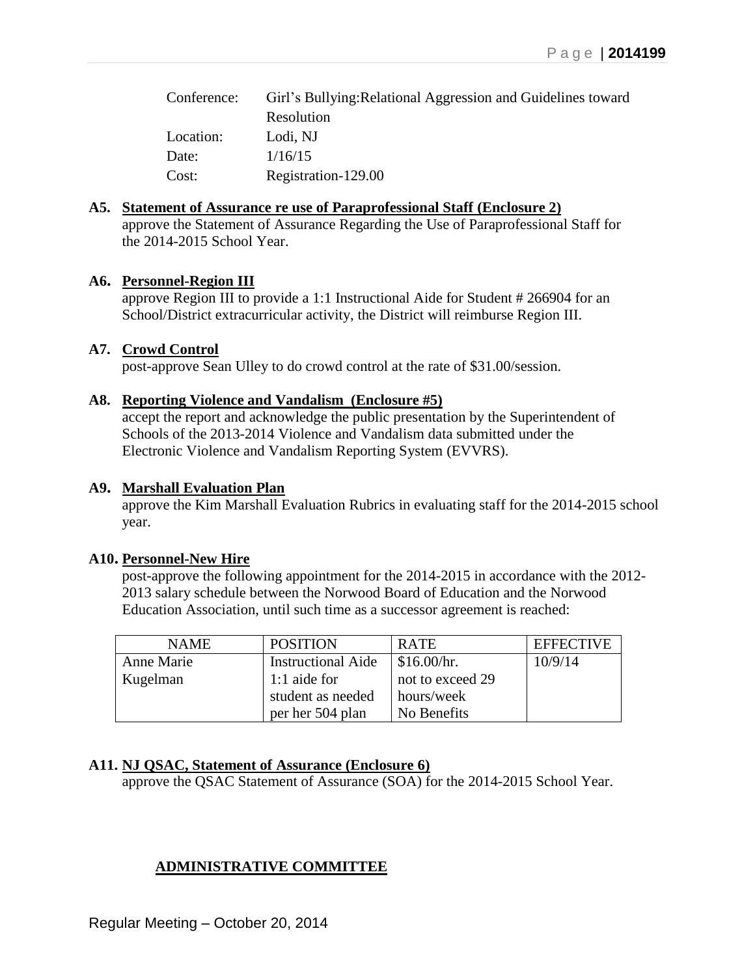| Conference: | Girl's Bullying: Relational Aggression and Guidelines toward |
|-------------|--------------------------------------------------------------|
|             | Resolution                                                   |
| Location:   | Lodi, NJ                                                     |
| Date:       | 1/16/15                                                      |
| Cost:       | Registration-129.00                                          |

## **A5. Statement of Assurance re use of Paraprofessional Staff (Enclosure 2)**

approve the Statement of Assurance Regarding the Use of Paraprofessional Staff for the 2014-2015 School Year.

## **A6. Personnel-Region III**

approve Region III to provide a 1:1 Instructional Aide for Student # 266904 for an School/District extracurricular activity, the District will reimburse Region III.

## **A7. Crowd Control**

post-approve Sean Ulley to do crowd control at the rate of \$31.00/session.

## **A8. Reporting Violence and Vandalism (Enclosure #5)**

accept the report and acknowledge the public presentation by the Superintendent of Schools of the 2013-2014 Violence and Vandalism data submitted under the Electronic Violence and Vandalism Reporting System (EVVRS).

## **A9. Marshall Evaluation Plan**

approve the Kim Marshall Evaluation Rubrics in evaluating staff for the 2014-2015 school year.

## **A10. Personnel-New Hire**

post-approve the following appointment for the 2014-2015 in accordance with the 2012- 2013 salary schedule between the Norwood Board of Education and the Norwood Education Association, until such time as a successor agreement is reached:

| <b>NAME</b> | <b>POSITION</b>           | <b>RATE</b>            | <b>EFFECTIVE</b> |
|-------------|---------------------------|------------------------|------------------|
| Anne Marie  | <b>Instructional Aide</b> | $\frac{\$16.00}{hr}$ . | 10/9/14          |
| Kugelman    | 1:1 aide for              | not to exceed 29       |                  |
|             | student as needed         | hours/week             |                  |
|             | per her 504 plan          | No Benefits            |                  |

# **A11. NJ QSAC, Statement of Assurance (Enclosure 6)**

approve the QSAC Statement of Assurance (SOA) for the 2014-2015 School Year.

# **ADMINISTRATIVE COMMITTEE**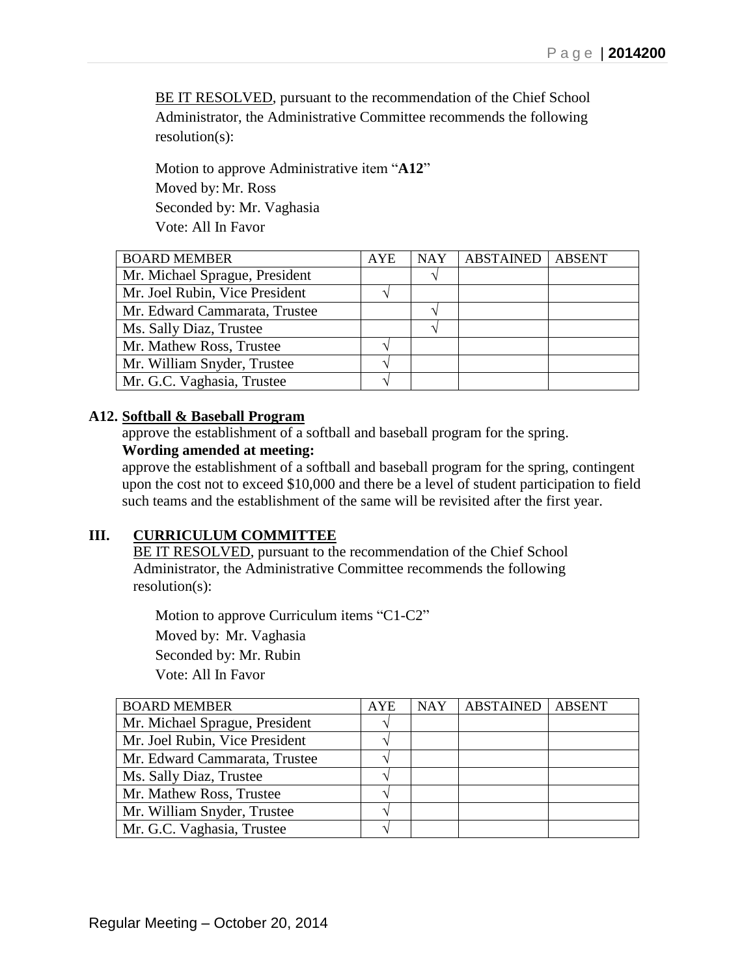BE IT RESOLVED, pursuant to the recommendation of the Chief School Administrator, the Administrative Committee recommends the following resolution(s):

Motion to approve Administrative item "**A12**" Moved by: Mr. Ross Seconded by: Mr. Vaghasia Vote: All In Favor

| <b>BOARD MEMBER</b>            | AYE | <b>NAY</b> | <b>ABSTAINED</b> | <b>ABSENT</b> |
|--------------------------------|-----|------------|------------------|---------------|
| Mr. Michael Sprague, President |     |            |                  |               |
| Mr. Joel Rubin, Vice President |     |            |                  |               |
| Mr. Edward Cammarata, Trustee  |     |            |                  |               |
| Ms. Sally Diaz, Trustee        |     |            |                  |               |
| Mr. Mathew Ross, Trustee       |     |            |                  |               |
| Mr. William Snyder, Trustee    |     |            |                  |               |
| Mr. G.C. Vaghasia, Trustee     |     |            |                  |               |

### **A12. Softball & Baseball Program**

approve the establishment of a softball and baseball program for the spring. **Wording amended at meeting:** 

approve the establishment of a softball and baseball program for the spring, contingent upon the cost not to exceed \$10,000 and there be a level of student participation to field such teams and the establishment of the same will be revisited after the first year.

## **III. CURRICULUM COMMITTEE**

BE IT RESOLVED, pursuant to the recommendation of the Chief School Administrator, the Administrative Committee recommends the following resolution(s):

Motion to approve Curriculum items "C1-C2" Moved by: Mr. Vaghasia Seconded by: Mr. Rubin Vote: All In Favor

| <b>BOARD MEMBER</b>            | <b>AYE</b>    | <b>NAY</b> | <b>ABSTAINED</b> | <b>ABSENT</b> |
|--------------------------------|---------------|------------|------------------|---------------|
| Mr. Michael Sprague, President | $\mathcal{N}$ |            |                  |               |
| Mr. Joel Rubin, Vice President |               |            |                  |               |
| Mr. Edward Cammarata, Trustee  |               |            |                  |               |
| Ms. Sally Diaz, Trustee        |               |            |                  |               |
| Mr. Mathew Ross, Trustee       |               |            |                  |               |
| Mr. William Snyder, Trustee    |               |            |                  |               |
| Mr. G.C. Vaghasia, Trustee     |               |            |                  |               |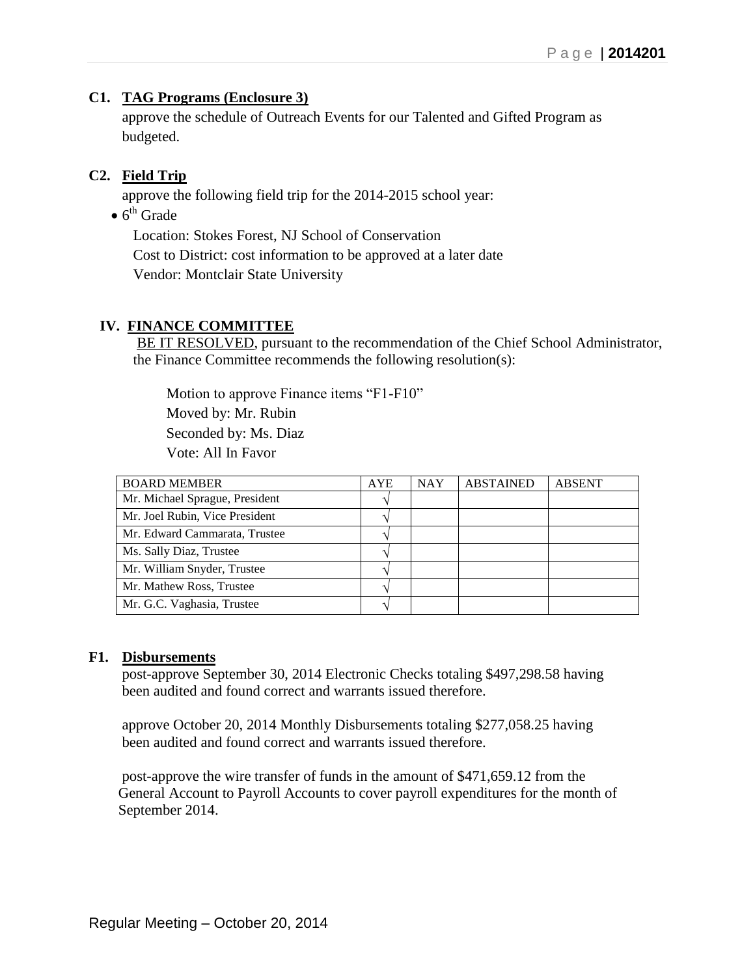# **C1. TAG Programs (Enclosure 3)**

approve the schedule of Outreach Events for our Talented and Gifted Program as budgeted.

# **C2. Field Trip**

approve the following field trip for the 2014-2015 school year:

 $\bullet$  6<sup>th</sup> Grade

Location: Stokes Forest, NJ School of Conservation Cost to District: cost information to be approved at a later date Vendor: Montclair State University

## **IV. FINANCE COMMITTEE**

BE IT RESOLVED, pursuant to the recommendation of the Chief School Administrator, the Finance Committee recommends the following resolution(s):

Motion to approve Finance items "F1-F10"

Moved by: Mr. Rubin

Seconded by: Ms. Diaz

Vote: All In Favor

| <b>BOARD MEMBER</b>            | <b>AYE</b> | <b>NAY</b> | <b>ABSTAINED</b> | <b>ABSENT</b> |
|--------------------------------|------------|------------|------------------|---------------|
| Mr. Michael Sprague, President |            |            |                  |               |
| Mr. Joel Rubin, Vice President |            |            |                  |               |
| Mr. Edward Cammarata, Trustee  |            |            |                  |               |
| Ms. Sally Diaz, Trustee        |            |            |                  |               |
| Mr. William Snyder, Trustee    |            |            |                  |               |
| Mr. Mathew Ross, Trustee       |            |            |                  |               |
| Mr. G.C. Vaghasia, Trustee     |            |            |                  |               |

## **F1. Disbursements**

post-approve September 30, 2014 Electronic Checks totaling \$497,298.58 having been audited and found correct and warrants issued therefore.

approve October 20, 2014 Monthly Disbursements totaling \$277,058.25 having been audited and found correct and warrants issued therefore.

 post-approve the wire transfer of funds in the amount of \$471,659.12 from the General Account to Payroll Accounts to cover payroll expenditures for the month of September 2014.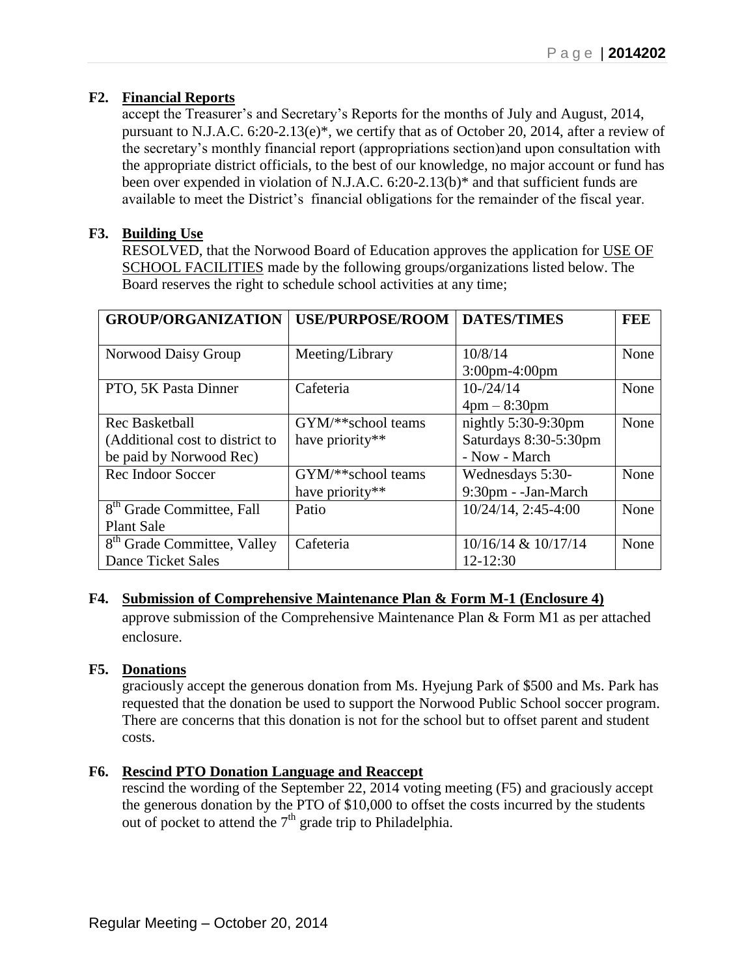# **F2. Financial Reports**

accept the Treasurer's and Secretary's Reports for the months of July and August, 2014, pursuant to N.J.A.C. 6:20-2.13(e)\*, we certify that as of October 20, 2014, after a review of the secretary's monthly financial report (appropriations section)and upon consultation with the appropriate district officials, to the best of our knowledge, no major account or fund has been over expended in violation of N.J.A.C. 6:20-2.13(b)\* and that sufficient funds are available to meet the District's financial obligations for the remainder of the fiscal year.

# **F3. Building Use**

RESOLVED, that the Norwood Board of Education approves the application for USE OF SCHOOL FACILITIES made by the following groups/organizations listed below. The Board reserves the right to schedule school activities at any time;

| <b>GROUP/ORGANIZATION</b>               | <b>USE/PURPOSE/ROOM</b> | <b>DATES/TIMES</b>     | FEE  |
|-----------------------------------------|-------------------------|------------------------|------|
|                                         |                         |                        |      |
| Norwood Daisy Group                     | Meeting/Library         | 10/8/14                | None |
|                                         |                         | $3:00$ pm-4:00pm       |      |
| PTO, 5K Pasta Dinner                    | Cafeteria               | $10 - \frac{24}{14}$   | None |
|                                         |                         | $4pm - 8:30pm$         |      |
| Rec Basketball                          | $GYM/**$ school teams   | nightly $5:30-9:30$ pm | None |
| (Additional cost to district to         | have priority**         | Saturdays 8:30-5:30pm  |      |
| be paid by Norwood Rec)                 |                         | - Now - March          |      |
| Rec Indoor Soccer                       | GYM/**school teams      | Wednesdays 5:30-       | None |
|                                         | have priority**         | 9:30pm - -Jan-March    |      |
| 8 <sup>th</sup> Grade Committee, Fall   | Patio                   | $10/24/14$ , 2:45-4:00 | None |
| <b>Plant Sale</b>                       |                         |                        |      |
| 8 <sup>th</sup> Grade Committee, Valley | Cafeteria               | 10/16/14 & 10/17/14    | None |
| <b>Dance Ticket Sales</b>               |                         | $12 - 12:30$           |      |

# **F4. Submission of Comprehensive Maintenance Plan & Form M-1 (Enclosure 4)**

approve submission of the Comprehensive Maintenance Plan & Form M1 as per attached enclosure.

# **F5. Donations**

graciously accept the generous donation from Ms. Hyejung Park of \$500 and Ms. Park has requested that the donation be used to support the Norwood Public School soccer program. There are concerns that this donation is not for the school but to offset parent and student costs.

# **F6. Rescind PTO Donation Language and Reaccept**

rescind the wording of the September 22, 2014 voting meeting (F5) and graciously accept the generous donation by the PTO of \$10,000 to offset the costs incurred by the students out of pocket to attend the  $7<sup>th</sup>$  grade trip to Philadelphia.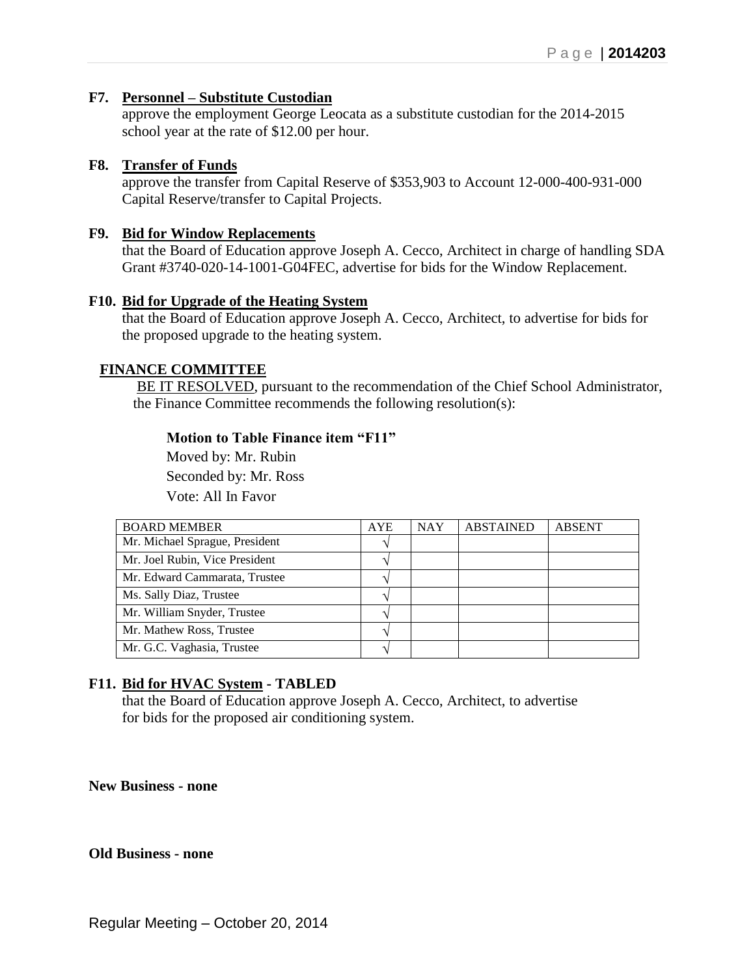### **F7. Personnel – Substitute Custodian**

approve the employment George Leocata as a substitute custodian for the 2014-2015 school year at the rate of \$12.00 per hour.

#### **F8. Transfer of Funds**

approve the transfer from Capital Reserve of \$353,903 to Account 12-000-400-931-000 Capital Reserve/transfer to Capital Projects.

#### **F9. Bid for Window Replacements**

that the Board of Education approve Joseph A. Cecco, Architect in charge of handling SDA Grant #3740-020-14-1001-G04FEC, advertise for bids for the Window Replacement.

### **F10. Bid for Upgrade of the Heating System**

that the Board of Education approve Joseph A. Cecco, Architect, to advertise for bids for the proposed upgrade to the heating system.

### **FINANCE COMMITTEE**

BE IT RESOLVED, pursuant to the recommendation of the Chief School Administrator, the Finance Committee recommends the following resolution(s):

#### **Motion to Table Finance item "F11"**

 Moved by: Mr. Rubin Seconded by: Mr. Ross Vote: All In Favor

| <b>BOARD MEMBER</b>            | <b>AYE</b> | <b>NAY</b> | <b>ABSTAINED</b> | <b>ABSENT</b> |
|--------------------------------|------------|------------|------------------|---------------|
| Mr. Michael Sprague, President |            |            |                  |               |
| Mr. Joel Rubin, Vice President |            |            |                  |               |
| Mr. Edward Cammarata, Trustee  |            |            |                  |               |
| Ms. Sally Diaz, Trustee        |            |            |                  |               |
| Mr. William Snyder, Trustee    |            |            |                  |               |
| Mr. Mathew Ross, Trustee       |            |            |                  |               |
| Mr. G.C. Vaghasia, Trustee     |            |            |                  |               |

## **F11. Bid for HVAC System - TABLED**

that the Board of Education approve Joseph A. Cecco, Architect, to advertise for bids for the proposed air conditioning system.

**New Business - none**

#### **Old Business - none**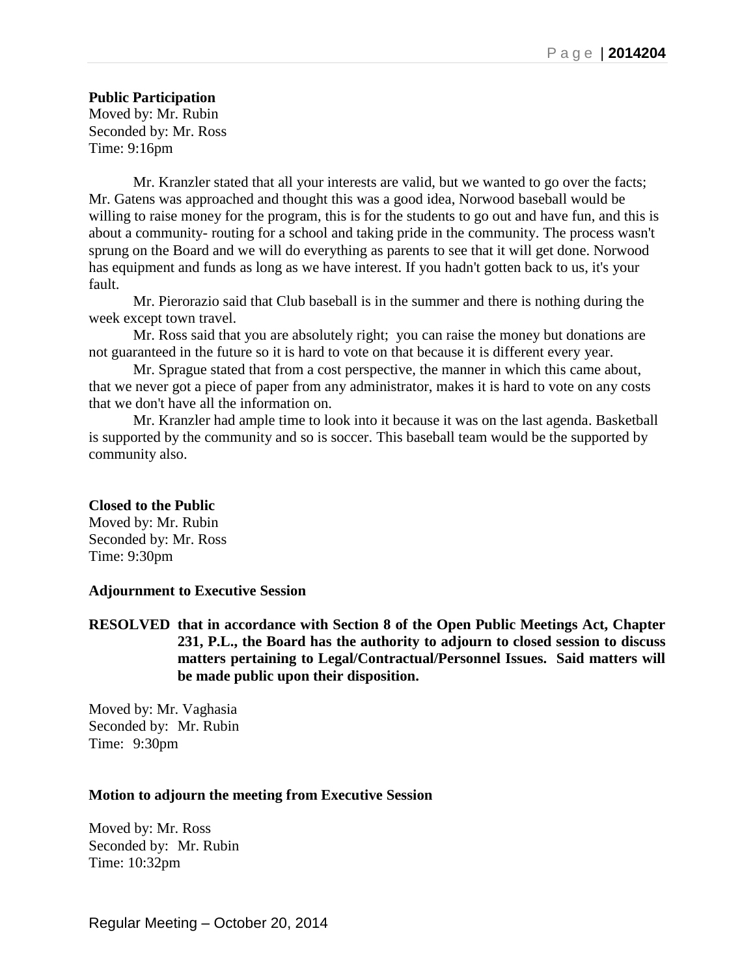## **Public Participation**

Moved by: Mr. Rubin Seconded by: Mr. Ross Time: 9:16pm

Mr. Kranzler stated that all your interests are valid, but we wanted to go over the facts; Mr. Gatens was approached and thought this was a good idea, Norwood baseball would be willing to raise money for the program, this is for the students to go out and have fun, and this is about a community- routing for a school and taking pride in the community. The process wasn't sprung on the Board and we will do everything as parents to see that it will get done. Norwood has equipment and funds as long as we have interest. If you hadn't gotten back to us, it's your fault.

Mr. Pierorazio said that Club baseball is in the summer and there is nothing during the week except town travel.

Mr. Ross said that you are absolutely right; you can raise the money but donations are not guaranteed in the future so it is hard to vote on that because it is different every year.

Mr. Sprague stated that from a cost perspective, the manner in which this came about, that we never got a piece of paper from any administrator, makes it is hard to vote on any costs that we don't have all the information on.

Mr. Kranzler had ample time to look into it because it was on the last agenda. Basketball is supported by the community and so is soccer. This baseball team would be the supported by community also.

## **Closed to the Public**

Moved by: Mr. Rubin Seconded by: Mr. Ross Time: 9:30pm

#### **Adjournment to Executive Session**

**RESOLVED that in accordance with Section 8 of the Open Public Meetings Act, Chapter 231, P.L., the Board has the authority to adjourn to closed session to discuss matters pertaining to Legal/Contractual/Personnel Issues. Said matters will be made public upon their disposition.**

Moved by: Mr. Vaghasia Seconded by: Mr. Rubin Time: 9:30pm

## **Motion to adjourn the meeting from Executive Session**

Moved by: Mr. Ross Seconded by: Mr. Rubin Time: 10:32pm